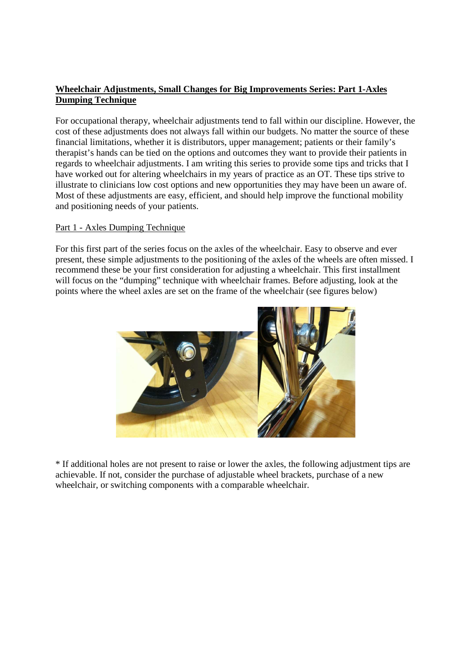## **Wheelchair Adjustments, Small Changes for Big Improvements Series: Part 1-Axles Dumping Technique**

For occupational therapy, wheelchair adjustments tend to fall within our discipline. However, the cost of these adjustments does not always fall within our budgets. No matter the source of these financial limitations, whether it is distributors, upper management; patients or their family's therapist's hands can be tied on the options and outcomes they want to provide their patients in regards to wheelchair adjustments. I am writing this series to provide some tips and tricks that I have worked out for altering wheelchairs in my years of practice as an OT. These tips strive to illustrate to clinicians low cost options and new opportunities they may have been un aware of. Most of these adjustments are easy, efficient, and should help improve the functional mobility and positioning needs of your patients.

## Part 1 - Axles Dumping Technique

For this first part of the series focus on the axles of the wheelchair. Easy to observe and ever present, these simple adjustments to the positioning of the axles of the wheels are often missed. I recommend these be your first consideration for adjusting a wheelchair. This first installment will focus on the "dumping" technique with wheelchair frames. Before adjusting, look at the points where the wheel axles are set on the frame of the wheelchair (see figures below)



\* If additional holes are not present to raise or lower the axles, the following adjustment tips are achievable. If not, consider the purchase of adjustable wheel brackets, purchase of a new wheelchair, or switching components with a comparable wheelchair.